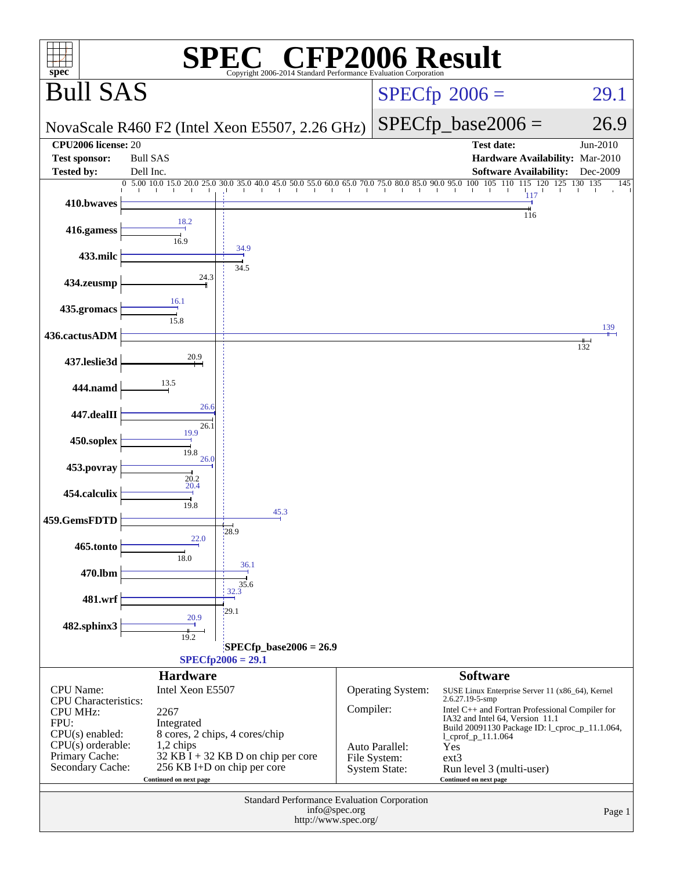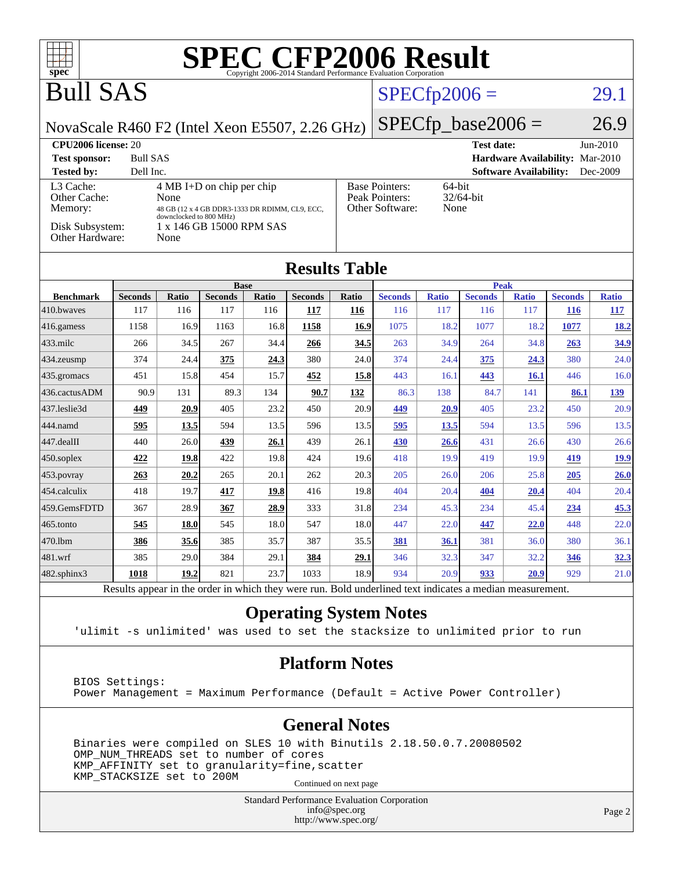| <b>SPEC CFP2006 Result</b><br>┱┪<br>$spec^*$<br>Copyright 2006-2014 Standard Performance Evaluation Corporation                                                                                                                                                                                                                 |                |              |                               |              |                |                      |                |                |                               |                               |                |              |
|---------------------------------------------------------------------------------------------------------------------------------------------------------------------------------------------------------------------------------------------------------------------------------------------------------------------------------|----------------|--------------|-------------------------------|--------------|----------------|----------------------|----------------|----------------|-------------------------------|-------------------------------|----------------|--------------|
| <b>Bull SAS</b>                                                                                                                                                                                                                                                                                                                 |                |              |                               |              |                |                      |                | $SPECfp2006 =$ |                               |                               |                | 29.1         |
| NovaScale R460 F2 (Intel Xeon E5507, 2.26 GHz)                                                                                                                                                                                                                                                                                  |                |              |                               |              |                | $SPECfp\_base2006 =$ |                |                |                               | 26.9                          |                |              |
| CPU2006 license: 20                                                                                                                                                                                                                                                                                                             |                |              |                               |              |                |                      |                |                | <b>Test date:</b>             |                               |                | Jun-2010     |
| <b>Bull SAS</b><br>Hardware Availability: Mar-2010<br><b>Test sponsor:</b>                                                                                                                                                                                                                                                      |                |              |                               |              |                |                      |                |                |                               |                               |                |              |
| <b>Tested by:</b>                                                                                                                                                                                                                                                                                                               | Dell Inc.      |              |                               |              |                |                      |                |                |                               | <b>Software Availability:</b> |                | Dec-2009     |
| L3 Cache:<br>$4 MB I+D$ on chip per chip<br><b>Base Pointers:</b><br>64-bit<br>Peak Pointers:<br>Other Cache:<br>32/64-bit<br>None<br>Other Software:<br>None<br>Memory:<br>48 GB (12 x 4 GB DDR3-1333 DR RDIMM, CL9, ECC,<br>downclocked to 800 MHz)<br>1 x 146 GB 15000 RPM SAS<br>Disk Subsystem:<br>Other Hardware:<br>None |                |              |                               |              |                |                      |                |                |                               |                               |                |              |
| <b>Results Table</b>                                                                                                                                                                                                                                                                                                            |                |              |                               |              |                |                      |                |                |                               |                               |                |              |
| <b>Benchmark</b>                                                                                                                                                                                                                                                                                                                | <b>Seconds</b> | <b>Ratio</b> | <b>Base</b><br><b>Seconds</b> | <b>Ratio</b> | <b>Seconds</b> | Ratio                | <b>Seconds</b> | <b>Ratio</b>   | <b>Peak</b><br><b>Seconds</b> | <b>Ratio</b>                  | <b>Seconds</b> | <b>Ratio</b> |
| 410.bwayes                                                                                                                                                                                                                                                                                                                      | 117            | 116          | 117                           | 116          | 117            | 116                  | 116            | 117            | 116                           | 117                           | 116            | <u> 117</u>  |
| 416.gamess                                                                                                                                                                                                                                                                                                                      | 1158           | 16.9         | 1163                          | 16.8         | 1158           | 16.9                 | 1075           | 18.2           | 1077                          | 18.2                          | 1077           | 18.2         |
| 433.milc                                                                                                                                                                                                                                                                                                                        | 266            | 34.5         | 267                           | 34.4         | 266            | 34.5                 | 263            | 34.9           | 264                           | 34.8                          | 263            | 34.9         |
| 434.zeusmp                                                                                                                                                                                                                                                                                                                      | 374            | 24.4         | 375                           | 24.3         | 380            | 24.0                 | 374            | 24.4           | 375                           | 24.3                          | 380            | 24.0         |
| 435.gromacs                                                                                                                                                                                                                                                                                                                     | 451            | 15.8         | 454                           | 15.7         | 452            | 15.8                 | 443            | 16.1           | 443                           | <b>16.1</b>                   | 446            | 16.0         |
| 436.cactusADM                                                                                                                                                                                                                                                                                                                   | 90.9           | 131          | 89.3                          | 134          | 90.7           | 132                  | 86.3           | 138            | 84.7                          | 141                           | 86.1           | <u> 139</u>  |
| 437.leslie3d                                                                                                                                                                                                                                                                                                                    | 449            | 20.9         | 405                           | 23.2         | 450            | 20.9                 | 449            | 20.9           | 405                           | 23.2                          | 450            | 20.9         |
| 444.namd                                                                                                                                                                                                                                                                                                                        | 595            | 13.5         | 594                           | 13.5         | 596            | 13.5                 | 595            | 13.5           | 594                           | 13.5                          | 596            | 13.5         |
| $ 447.\text{dealII}$                                                                                                                                                                                                                                                                                                            | 440            | 26.0         | 439                           | <b>26.1</b>  | 439            | 26.1                 | 430            | 26.6           | 431                           | 26.6                          | 430            | 26.6         |
| $450$ .soplex                                                                                                                                                                                                                                                                                                                   | 422            | 19.8         | 422                           | 19.8         | 424            | 19.6                 | 418            | 19.9           | 419                           | 19.9                          | 419            | 19.9         |
| $453$ . povray                                                                                                                                                                                                                                                                                                                  | 263            | 20.2         | 265                           | 20.1         | 262            | 20.3                 | 205            | 26.0           | 206                           | 25.8                          | 205            | 26.0         |
| 454.calculix                                                                                                                                                                                                                                                                                                                    | 418            | 19.7         | 417                           | 19.8         | 416            | 19.8                 | 404            | 20.4           | 404                           | 20.4                          | 404            | 20.4         |
| 459.GemsFDTD                                                                                                                                                                                                                                                                                                                    | 367            | 28.9         | 367                           | 28.9         | 333            | 31.8                 | 234            | 45.3           | 234                           | 45.4                          | 234            | 45.3         |
| $465$ .tonto                                                                                                                                                                                                                                                                                                                    | 545            | <b>18.0</b>  | 545                           | 18.0         | 547            | 18.0                 | 447            | 22.0           | 447                           | 22.0                          | 448            | 22.0         |
| 470.1bm                                                                                                                                                                                                                                                                                                                         | 386            | 35.6         | 385                           | 35.7         | 387            | 35.5                 | 381            | 36.1           | 381                           | 36.0                          | 380            | 36.1         |
| 481.wrf                                                                                                                                                                                                                                                                                                                         | 385            | 29.0         | 384                           | 29.1         | 384            | 29.1                 | 346            | 32.3           | 347                           | 32.2                          | 346            | 32.3         |
| $482$ .sphinx $3$                                                                                                                                                                                                                                                                                                               | 1018           | 19.2         | 821                           | 23.7         | 1033           | 18.9                 | 934            | 20.9           | 933                           | 20.9                          | 929            | 21.0         |
| Results appear in the order in which they were run. Bold underlined text indicates a median measurement.                                                                                                                                                                                                                        |                |              |                               |              |                |                      |                |                |                               |                               |                |              |

#### **[Operating System Notes](http://www.spec.org/auto/cpu2006/Docs/result-fields.html#OperatingSystemNotes)**

'ulimit -s unlimited' was used to set the stacksize to unlimited prior to run

#### **[Platform Notes](http://www.spec.org/auto/cpu2006/Docs/result-fields.html#PlatformNotes)**

 BIOS Settings: Power Management = Maximum Performance (Default = Active Power Controller)

#### **[General Notes](http://www.spec.org/auto/cpu2006/Docs/result-fields.html#GeneralNotes)**

 Binaries were compiled on SLES 10 with Binutils 2.18.50.0.7.20080502 OMP\_NUM\_THREADS set to number of cores KMP\_AFFINITY set to granularity=fine,scatter KMP\_STACKSIZE set to 200M

Continued on next page

Standard Performance Evaluation Corporation [info@spec.org](mailto:info@spec.org) <http://www.spec.org/>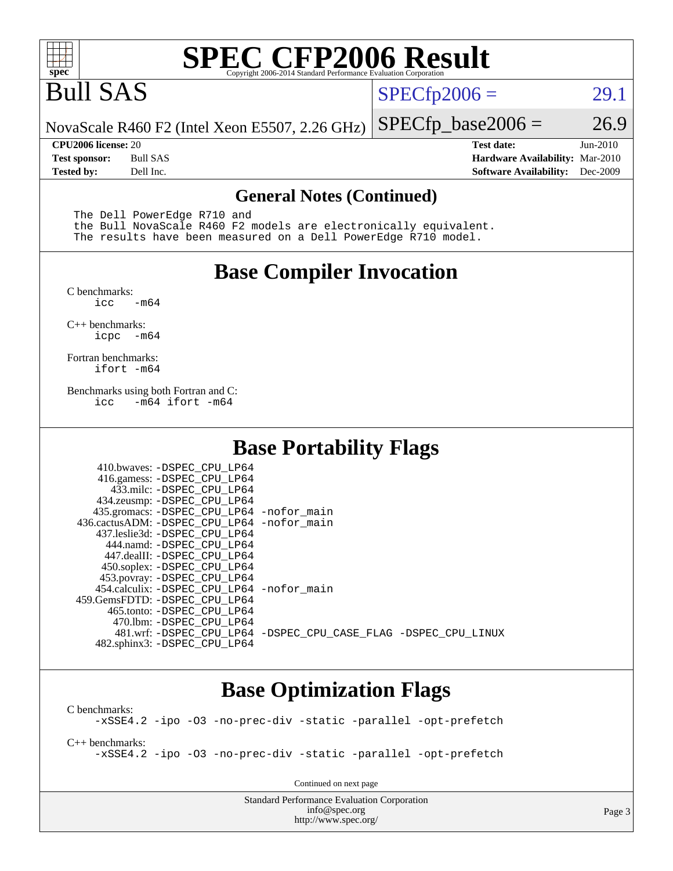

# **[SPEC CFP2006 Result](http://www.spec.org/auto/cpu2006/Docs/result-fields.html#SPECCFP2006Result)**

# Bull SAS

 $SPECTp2006 = 29.1$ 

NovaScale R460 F2 (Intel Xeon E5507, 2.26 GHz)  $SPECTp\_base2006 = 26.9$ 

**[CPU2006 license:](http://www.spec.org/auto/cpu2006/Docs/result-fields.html#CPU2006license)** 20 **[Test date:](http://www.spec.org/auto/cpu2006/Docs/result-fields.html#Testdate)** Jun-2010 **[Test sponsor:](http://www.spec.org/auto/cpu2006/Docs/result-fields.html#Testsponsor)** Bull SAS **[Hardware Availability:](http://www.spec.org/auto/cpu2006/Docs/result-fields.html#HardwareAvailability)** Mar-2010 **[Tested by:](http://www.spec.org/auto/cpu2006/Docs/result-fields.html#Testedby)** Dell Inc. **[Software Availability:](http://www.spec.org/auto/cpu2006/Docs/result-fields.html#SoftwareAvailability)** Dec-2009

#### **[General Notes \(Continued\)](http://www.spec.org/auto/cpu2006/Docs/result-fields.html#GeneralNotes)**

The Dell PowerEdge R710 and

 the Bull NovaScale R460 F2 models are electronically equivalent. The results have been measured on a Dell PowerEdge R710 model.

#### **[Base Compiler Invocation](http://www.spec.org/auto/cpu2006/Docs/result-fields.html#BaseCompilerInvocation)**

[C benchmarks](http://www.spec.org/auto/cpu2006/Docs/result-fields.html#Cbenchmarks):  $\text{icc}$   $-\text{m64}$ 

[C++ benchmarks:](http://www.spec.org/auto/cpu2006/Docs/result-fields.html#CXXbenchmarks) [icpc -m64](http://www.spec.org/cpu2006/results/res2010q3/cpu2006-20100706-12266.flags.html#user_CXXbase_intel_icpc_64bit_bedb90c1146cab66620883ef4f41a67e)

[Fortran benchmarks](http://www.spec.org/auto/cpu2006/Docs/result-fields.html#Fortranbenchmarks): [ifort -m64](http://www.spec.org/cpu2006/results/res2010q3/cpu2006-20100706-12266.flags.html#user_FCbase_intel_ifort_64bit_ee9d0fb25645d0210d97eb0527dcc06e)

[Benchmarks using both Fortran and C](http://www.spec.org/auto/cpu2006/Docs/result-fields.html#BenchmarksusingbothFortranandC): [icc -m64](http://www.spec.org/cpu2006/results/res2010q3/cpu2006-20100706-12266.flags.html#user_CC_FCbase_intel_icc_64bit_0b7121f5ab7cfabee23d88897260401c) [ifort -m64](http://www.spec.org/cpu2006/results/res2010q3/cpu2006-20100706-12266.flags.html#user_CC_FCbase_intel_ifort_64bit_ee9d0fb25645d0210d97eb0527dcc06e)

#### **[Base Portability Flags](http://www.spec.org/auto/cpu2006/Docs/result-fields.html#BasePortabilityFlags)**

| 410.bwaves: -DSPEC CPU LP64                 |                                                                |
|---------------------------------------------|----------------------------------------------------------------|
| 416.gamess: -DSPEC_CPU_LP64                 |                                                                |
| 433.milc: -DSPEC CPU LP64                   |                                                                |
| 434.zeusmp: -DSPEC_CPU_LP64                 |                                                                |
| 435.gromacs: -DSPEC_CPU_LP64 -nofor_main    |                                                                |
| 436.cactusADM: -DSPEC_CPU_LP64 -nofor_main  |                                                                |
| 437.leslie3d: -DSPEC CPU LP64               |                                                                |
| 444.namd: -DSPEC CPU LP64                   |                                                                |
| 447.dealII: -DSPEC CPU LP64                 |                                                                |
| 450.soplex: -DSPEC_CPU_LP64                 |                                                                |
| 453.povray: - DSPEC_CPU_LP64                |                                                                |
| 454.calculix: - DSPEC CPU LP64 - nofor main |                                                                |
| 459.GemsFDTD: -DSPEC CPU LP64               |                                                                |
| 465.tonto: - DSPEC CPU LP64                 |                                                                |
| 470.1bm: -DSPEC CPU LP64                    |                                                                |
|                                             | 481.wrf: -DSPEC CPU_LP64 -DSPEC_CPU_CASE_FLAG -DSPEC_CPU_LINUX |
| 482.sphinx3: -DSPEC_CPU_LP64                |                                                                |

#### **[Base Optimization Flags](http://www.spec.org/auto/cpu2006/Docs/result-fields.html#BaseOptimizationFlags)**

[C benchmarks](http://www.spec.org/auto/cpu2006/Docs/result-fields.html#Cbenchmarks): [-xSSE4.2](http://www.spec.org/cpu2006/results/res2010q3/cpu2006-20100706-12266.flags.html#user_CCbase_f-xSSE42_f91528193cf0b216347adb8b939d4107) [-ipo](http://www.spec.org/cpu2006/results/res2010q3/cpu2006-20100706-12266.flags.html#user_CCbase_f-ipo) [-O3](http://www.spec.org/cpu2006/results/res2010q3/cpu2006-20100706-12266.flags.html#user_CCbase_f-O3) [-no-prec-div](http://www.spec.org/cpu2006/results/res2010q3/cpu2006-20100706-12266.flags.html#user_CCbase_f-no-prec-div) [-static](http://www.spec.org/cpu2006/results/res2010q3/cpu2006-20100706-12266.flags.html#user_CCbase_f-static) [-parallel](http://www.spec.org/cpu2006/results/res2010q3/cpu2006-20100706-12266.flags.html#user_CCbase_f-parallel) [-opt-prefetch](http://www.spec.org/cpu2006/results/res2010q3/cpu2006-20100706-12266.flags.html#user_CCbase_f-opt-prefetch)

[C++ benchmarks:](http://www.spec.org/auto/cpu2006/Docs/result-fields.html#CXXbenchmarks) [-xSSE4.2](http://www.spec.org/cpu2006/results/res2010q3/cpu2006-20100706-12266.flags.html#user_CXXbase_f-xSSE42_f91528193cf0b216347adb8b939d4107) [-ipo](http://www.spec.org/cpu2006/results/res2010q3/cpu2006-20100706-12266.flags.html#user_CXXbase_f-ipo) [-O3](http://www.spec.org/cpu2006/results/res2010q3/cpu2006-20100706-12266.flags.html#user_CXXbase_f-O3) [-no-prec-div](http://www.spec.org/cpu2006/results/res2010q3/cpu2006-20100706-12266.flags.html#user_CXXbase_f-no-prec-div) [-static](http://www.spec.org/cpu2006/results/res2010q3/cpu2006-20100706-12266.flags.html#user_CXXbase_f-static) [-parallel](http://www.spec.org/cpu2006/results/res2010q3/cpu2006-20100706-12266.flags.html#user_CXXbase_f-parallel) [-opt-prefetch](http://www.spec.org/cpu2006/results/res2010q3/cpu2006-20100706-12266.flags.html#user_CXXbase_f-opt-prefetch)

Continued on next page

Standard Performance Evaluation Corporation [info@spec.org](mailto:info@spec.org) <http://www.spec.org/>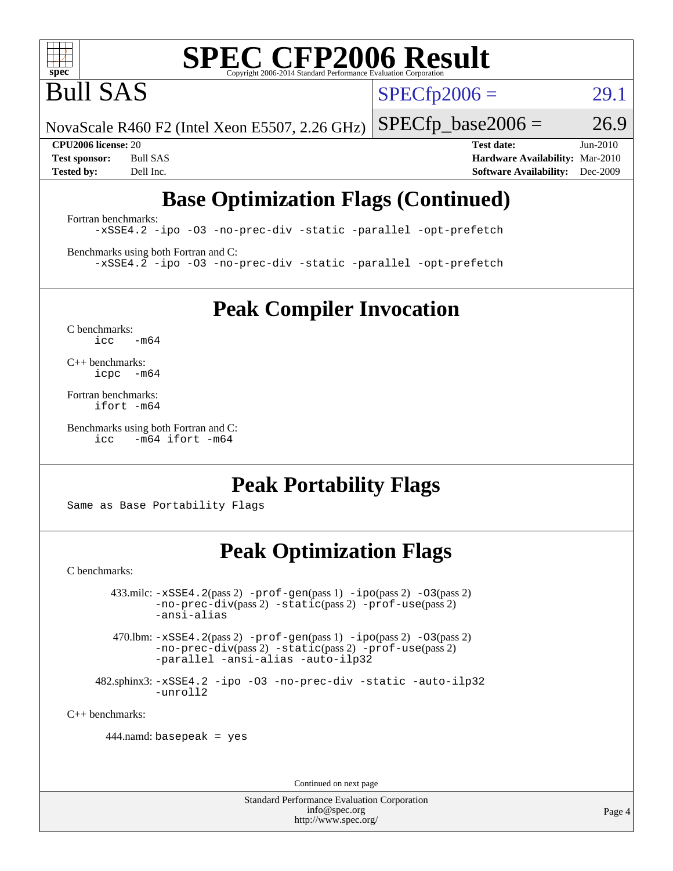![](_page_3_Picture_0.jpeg)

# **[SPEC CFP2006 Result](http://www.spec.org/auto/cpu2006/Docs/result-fields.html#SPECCFP2006Result)**

Bull SAS

 $SPECTp2006 = 29.1$ 

NovaScale R460 F2 (Intel Xeon E5507, 2.26 GHz)  $SPECTp\_base2006 = 26.9$ 

**[CPU2006 license:](http://www.spec.org/auto/cpu2006/Docs/result-fields.html#CPU2006license)** 20 **[Test date:](http://www.spec.org/auto/cpu2006/Docs/result-fields.html#Testdate)** Jun-2010 **[Test sponsor:](http://www.spec.org/auto/cpu2006/Docs/result-fields.html#Testsponsor)** Bull SAS **[Hardware Availability:](http://www.spec.org/auto/cpu2006/Docs/result-fields.html#HardwareAvailability)** Mar-2010 **[Tested by:](http://www.spec.org/auto/cpu2006/Docs/result-fields.html#Testedby)** Dell Inc. **[Software Availability:](http://www.spec.org/auto/cpu2006/Docs/result-fields.html#SoftwareAvailability)** Dec-2009

### **[Base Optimization Flags \(Continued\)](http://www.spec.org/auto/cpu2006/Docs/result-fields.html#BaseOptimizationFlags)**

[Fortran benchmarks](http://www.spec.org/auto/cpu2006/Docs/result-fields.html#Fortranbenchmarks): [-xSSE4.2](http://www.spec.org/cpu2006/results/res2010q3/cpu2006-20100706-12266.flags.html#user_FCbase_f-xSSE42_f91528193cf0b216347adb8b939d4107) [-ipo](http://www.spec.org/cpu2006/results/res2010q3/cpu2006-20100706-12266.flags.html#user_FCbase_f-ipo) [-O3](http://www.spec.org/cpu2006/results/res2010q3/cpu2006-20100706-12266.flags.html#user_FCbase_f-O3) [-no-prec-div](http://www.spec.org/cpu2006/results/res2010q3/cpu2006-20100706-12266.flags.html#user_FCbase_f-no-prec-div) [-static](http://www.spec.org/cpu2006/results/res2010q3/cpu2006-20100706-12266.flags.html#user_FCbase_f-static) [-parallel](http://www.spec.org/cpu2006/results/res2010q3/cpu2006-20100706-12266.flags.html#user_FCbase_f-parallel) [-opt-prefetch](http://www.spec.org/cpu2006/results/res2010q3/cpu2006-20100706-12266.flags.html#user_FCbase_f-opt-prefetch)

[Benchmarks using both Fortran and C](http://www.spec.org/auto/cpu2006/Docs/result-fields.html#BenchmarksusingbothFortranandC): [-xSSE4.2](http://www.spec.org/cpu2006/results/res2010q3/cpu2006-20100706-12266.flags.html#user_CC_FCbase_f-xSSE42_f91528193cf0b216347adb8b939d4107) [-ipo](http://www.spec.org/cpu2006/results/res2010q3/cpu2006-20100706-12266.flags.html#user_CC_FCbase_f-ipo) [-O3](http://www.spec.org/cpu2006/results/res2010q3/cpu2006-20100706-12266.flags.html#user_CC_FCbase_f-O3) [-no-prec-div](http://www.spec.org/cpu2006/results/res2010q3/cpu2006-20100706-12266.flags.html#user_CC_FCbase_f-no-prec-div) [-static](http://www.spec.org/cpu2006/results/res2010q3/cpu2006-20100706-12266.flags.html#user_CC_FCbase_f-static) [-parallel](http://www.spec.org/cpu2006/results/res2010q3/cpu2006-20100706-12266.flags.html#user_CC_FCbase_f-parallel) [-opt-prefetch](http://www.spec.org/cpu2006/results/res2010q3/cpu2006-20100706-12266.flags.html#user_CC_FCbase_f-opt-prefetch)

**[Peak Compiler Invocation](http://www.spec.org/auto/cpu2006/Docs/result-fields.html#PeakCompilerInvocation)**

[C benchmarks](http://www.spec.org/auto/cpu2006/Docs/result-fields.html#Cbenchmarks):  $icc$   $-m64$ 

[C++ benchmarks:](http://www.spec.org/auto/cpu2006/Docs/result-fields.html#CXXbenchmarks) [icpc -m64](http://www.spec.org/cpu2006/results/res2010q3/cpu2006-20100706-12266.flags.html#user_CXXpeak_intel_icpc_64bit_bedb90c1146cab66620883ef4f41a67e)

[Fortran benchmarks](http://www.spec.org/auto/cpu2006/Docs/result-fields.html#Fortranbenchmarks): [ifort -m64](http://www.spec.org/cpu2006/results/res2010q3/cpu2006-20100706-12266.flags.html#user_FCpeak_intel_ifort_64bit_ee9d0fb25645d0210d97eb0527dcc06e)

[Benchmarks using both Fortran and C](http://www.spec.org/auto/cpu2006/Docs/result-fields.html#BenchmarksusingbothFortranandC): [icc -m64](http://www.spec.org/cpu2006/results/res2010q3/cpu2006-20100706-12266.flags.html#user_CC_FCpeak_intel_icc_64bit_0b7121f5ab7cfabee23d88897260401c) [ifort -m64](http://www.spec.org/cpu2006/results/res2010q3/cpu2006-20100706-12266.flags.html#user_CC_FCpeak_intel_ifort_64bit_ee9d0fb25645d0210d97eb0527dcc06e)

### **[Peak Portability Flags](http://www.spec.org/auto/cpu2006/Docs/result-fields.html#PeakPortabilityFlags)**

Same as Base Portability Flags

### **[Peak Optimization Flags](http://www.spec.org/auto/cpu2006/Docs/result-fields.html#PeakOptimizationFlags)**

[C benchmarks](http://www.spec.org/auto/cpu2006/Docs/result-fields.html#Cbenchmarks):

 $433 \text{.}$ milc:  $-xSSE4$ .  $2(pass 2)$  - $prof-gen(pass 1)$  - $ipo(pass 2)$  [-O3](http://www.spec.org/cpu2006/results/res2010q3/cpu2006-20100706-12266.flags.html#user_peakPASS2_CFLAGSPASS2_LDFLAGS433_milc_f-O3) $(pass 2)$ [-no-prec-div](http://www.spec.org/cpu2006/results/res2010q3/cpu2006-20100706-12266.flags.html#user_peakPASS2_CFLAGSPASS2_LDFLAGS433_milc_f-no-prec-div)(pass 2) [-static](http://www.spec.org/cpu2006/results/res2010q3/cpu2006-20100706-12266.flags.html#user_peakPASS2_CFLAGSPASS2_LDFLAGS433_milc_f-static)(pass 2) [-prof-use](http://www.spec.org/cpu2006/results/res2010q3/cpu2006-20100706-12266.flags.html#user_peakPASS2_CFLAGSPASS2_LDFLAGS433_milc_prof_use_bccf7792157ff70d64e32fe3e1250b55)(pass 2) [-ansi-alias](http://www.spec.org/cpu2006/results/res2010q3/cpu2006-20100706-12266.flags.html#user_peakOPTIMIZE433_milc_f-ansi-alias)

 470.lbm: [-xSSE4.2](http://www.spec.org/cpu2006/results/res2010q3/cpu2006-20100706-12266.flags.html#user_peakPASS2_CFLAGSPASS2_LDFLAGS470_lbm_f-xSSE42_f91528193cf0b216347adb8b939d4107)(pass 2) [-prof-gen](http://www.spec.org/cpu2006/results/res2010q3/cpu2006-20100706-12266.flags.html#user_peakPASS1_CFLAGSPASS1_LDFLAGS470_lbm_prof_gen_e43856698f6ca7b7e442dfd80e94a8fc)(pass 1) [-ipo](http://www.spec.org/cpu2006/results/res2010q3/cpu2006-20100706-12266.flags.html#user_peakPASS2_CFLAGSPASS2_LDFLAGS470_lbm_f-ipo)(pass 2) [-O3](http://www.spec.org/cpu2006/results/res2010q3/cpu2006-20100706-12266.flags.html#user_peakPASS2_CFLAGSPASS2_LDFLAGS470_lbm_f-O3)(pass 2) [-no-prec-div](http://www.spec.org/cpu2006/results/res2010q3/cpu2006-20100706-12266.flags.html#user_peakPASS2_CFLAGSPASS2_LDFLAGS470_lbm_f-no-prec-div)(pass 2) [-static](http://www.spec.org/cpu2006/results/res2010q3/cpu2006-20100706-12266.flags.html#user_peakPASS2_CFLAGSPASS2_LDFLAGS470_lbm_f-static)(pass 2) [-prof-use](http://www.spec.org/cpu2006/results/res2010q3/cpu2006-20100706-12266.flags.html#user_peakPASS2_CFLAGSPASS2_LDFLAGS470_lbm_prof_use_bccf7792157ff70d64e32fe3e1250b55)(pass 2) [-parallel](http://www.spec.org/cpu2006/results/res2010q3/cpu2006-20100706-12266.flags.html#user_peakOPTIMIZE470_lbm_f-parallel) [-ansi-alias](http://www.spec.org/cpu2006/results/res2010q3/cpu2006-20100706-12266.flags.html#user_peakOPTIMIZE470_lbm_f-ansi-alias) [-auto-ilp32](http://www.spec.org/cpu2006/results/res2010q3/cpu2006-20100706-12266.flags.html#user_peakCOPTIMIZE470_lbm_f-auto-ilp32)

 482.sphinx3: [-xSSE4.2](http://www.spec.org/cpu2006/results/res2010q3/cpu2006-20100706-12266.flags.html#user_peakOPTIMIZE482_sphinx3_f-xSSE42_f91528193cf0b216347adb8b939d4107) [-ipo](http://www.spec.org/cpu2006/results/res2010q3/cpu2006-20100706-12266.flags.html#user_peakOPTIMIZE482_sphinx3_f-ipo) [-O3](http://www.spec.org/cpu2006/results/res2010q3/cpu2006-20100706-12266.flags.html#user_peakOPTIMIZE482_sphinx3_f-O3) [-no-prec-div](http://www.spec.org/cpu2006/results/res2010q3/cpu2006-20100706-12266.flags.html#user_peakOPTIMIZE482_sphinx3_f-no-prec-div) [-static](http://www.spec.org/cpu2006/results/res2010q3/cpu2006-20100706-12266.flags.html#user_peakOPTIMIZE482_sphinx3_f-static) [-auto-ilp32](http://www.spec.org/cpu2006/results/res2010q3/cpu2006-20100706-12266.flags.html#user_peakCOPTIMIZE482_sphinx3_f-auto-ilp32) [-unroll2](http://www.spec.org/cpu2006/results/res2010q3/cpu2006-20100706-12266.flags.html#user_peakCOPTIMIZE482_sphinx3_f-unroll_784dae83bebfb236979b41d2422d7ec2)

[C++ benchmarks:](http://www.spec.org/auto/cpu2006/Docs/result-fields.html#CXXbenchmarks)

444.namd: basepeak = yes

Continued on next page

Standard Performance Evaluation Corporation [info@spec.org](mailto:info@spec.org) <http://www.spec.org/>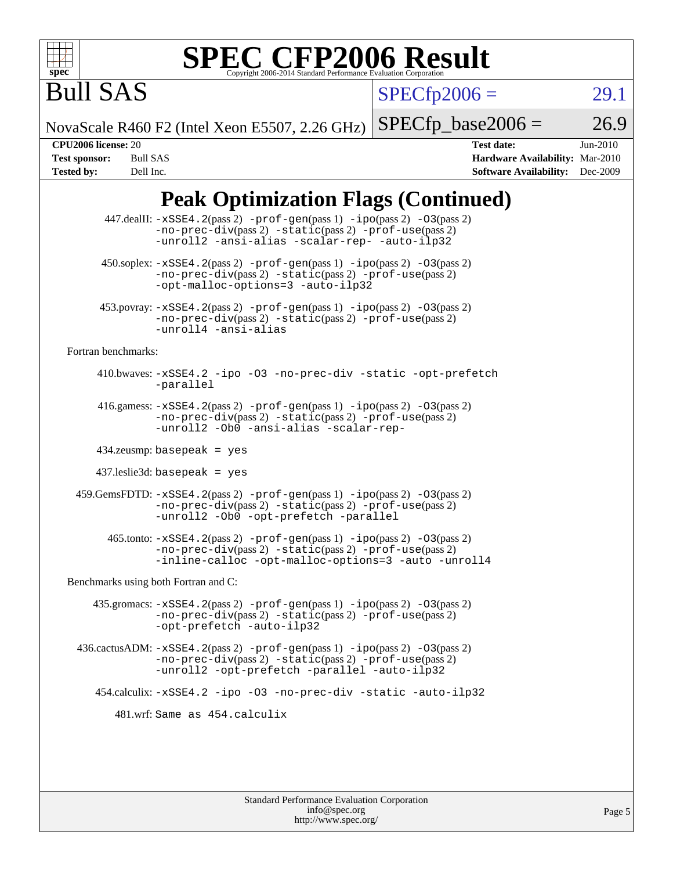![](_page_4_Picture_0.jpeg)

# **[SPEC CFP2006 Result](http://www.spec.org/auto/cpu2006/Docs/result-fields.html#SPECCFP2006Result)**

 $SPECfp2006 = 29.1$  $SPECfp2006 = 29.1$ 

NovaScale R460 F2 (Intel Xeon E5507, 2.26 GHz)

 $SPECTp\_base2006 = 26.9$ 

Bull SAS

**[CPU2006 license:](http://www.spec.org/auto/cpu2006/Docs/result-fields.html#CPU2006license)** 20 **[Test date:](http://www.spec.org/auto/cpu2006/Docs/result-fields.html#Testdate)** Jun-2010 **[Test sponsor:](http://www.spec.org/auto/cpu2006/Docs/result-fields.html#Testsponsor)** Bull SAS **[Hardware Availability:](http://www.spec.org/auto/cpu2006/Docs/result-fields.html#HardwareAvailability)** Mar-2010 **[Tested by:](http://www.spec.org/auto/cpu2006/Docs/result-fields.html#Testedby)** Dell Inc. **[Software Availability:](http://www.spec.org/auto/cpu2006/Docs/result-fields.html#SoftwareAvailability)** Dec-2009

## **[Peak Optimization Flags \(Continued\)](http://www.spec.org/auto/cpu2006/Docs/result-fields.html#PeakOptimizationFlags)**

|                                      | 447.dealII: -xSSE4.2(pass 2) -prof-gen(pass 1) -ipo(pass 2) -03(pass 2)<br>-no-prec-div(pass 2) -static(pass 2) -prof-use(pass 2)<br>-unroll2 -ansi-alias -scalar-rep- -auto-ilp32               |  |  |  |  |
|--------------------------------------|--------------------------------------------------------------------------------------------------------------------------------------------------------------------------------------------------|--|--|--|--|
|                                      | 450.soplex: $-xSSE4$ . 2(pass 2) -prof-gen(pass 1) -ipo(pass 2) -03(pass 2)<br>-no-prec-div(pass 2) -static(pass 2) -prof-use(pass 2)<br>-opt-malloc-options=3 -auto-ilp32                       |  |  |  |  |
|                                      | 453.povray: -xSSE4.2(pass 2) -prof-gen(pass 1) -ipo(pass 2) -03(pass 2)<br>-no-prec-div(pass 2) -static(pass 2) -prof-use(pass 2)<br>-unroll4 -ansi-alias                                        |  |  |  |  |
| Fortran benchmarks:                  |                                                                                                                                                                                                  |  |  |  |  |
|                                      | 410.bwaves: -xSSE4.2 -ipo -03 -no-prec-div -static -opt-prefetch<br>-parallel                                                                                                                    |  |  |  |  |
|                                      | 416.gamess: $-xSSE4$ . 2(pass 2) $-prof-gen(pass 1) -ipo(pass 2) -03(pass 2)$<br>-no-prec-div(pass 2) -static(pass 2) -prof-use(pass 2)<br>-unroll2 -Ob0 -ansi-alias -scalar-rep-                |  |  |  |  |
|                                      | $434$ .zeusmp: basepeak = yes                                                                                                                                                                    |  |  |  |  |
|                                      | $437$ .leslie3d: basepeak = yes                                                                                                                                                                  |  |  |  |  |
|                                      | 459.GemsFDTD: -xSSE4.2(pass 2) -prof-gen(pass 1) -ipo(pass 2) -03(pass 2)<br>-no-prec-div(pass 2) -static(pass 2) -prof-use(pass 2)<br>-unroll2 -Ob0 -opt-prefetch -parallel                     |  |  |  |  |
|                                      | $465$ .tonto: $-xSSE4$ . 2(pass 2) $-prof-gen(pass 1) -ipo(pass 2) -03(pass 2)$<br>-no-prec-div(pass 2) -static(pass 2) -prof-use(pass 2)<br>-inline-calloc -opt-malloc-options=3 -auto -unroll4 |  |  |  |  |
| Benchmarks using both Fortran and C: |                                                                                                                                                                                                  |  |  |  |  |
|                                      | 435.gromacs: $-xSSE4$ . 2(pass 2) $-prof$ -gen(pass 1) $-ipo$ (pass 2) $-O3$ (pass 2)<br>-no-prec-div(pass 2) -static(pass 2) -prof-use(pass 2)<br>-opt-prefetch -auto-ilp32                     |  |  |  |  |
|                                      | $436.cactusADM: -xSSE4.2(pass 2) -prof-gen(pass 1) -ipo(pass 2) -O3(pass 2)$<br>-no-prec-div(pass 2) -static(pass 2) -prof-use(pass 2)<br>-unroll2 -opt-prefetch -parallel -auto-ilp32           |  |  |  |  |
|                                      | 454.calculix: -xSSE4.2 -ipo -03 -no-prec-div -static -auto-ilp32                                                                                                                                 |  |  |  |  |
|                                      | 481.wrf: Same as 454.calculix                                                                                                                                                                    |  |  |  |  |
|                                      |                                                                                                                                                                                                  |  |  |  |  |
|                                      |                                                                                                                                                                                                  |  |  |  |  |